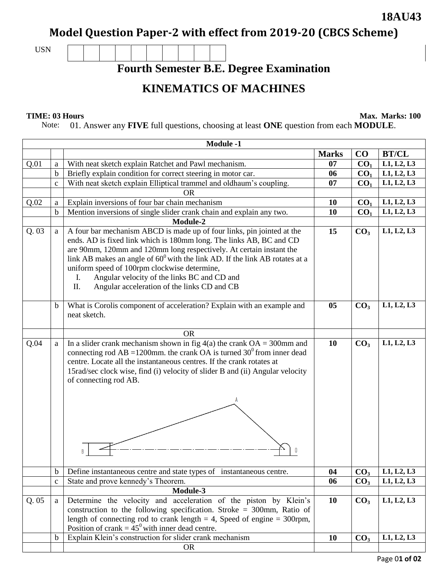## **18AU43**

**Model Question Paper-2 with effect from 2019-20 (CBCS Scheme)**

USN

**Fourth Semester B.E. Degree Examination**

## **KINEMATICS OF MACHINES**

**TIME: 03 Hours** Max. Marks: 100

Note: 01. Answer any **FIVE** full questions, choosing at least **ONE** question from each **MODULE**.

| <b>Module -1</b> |             |                                                                                 |              |                 |              |  |  |  |
|------------------|-------------|---------------------------------------------------------------------------------|--------------|-----------------|--------------|--|--|--|
|                  |             |                                                                                 | <b>Marks</b> | CO              | <b>BT/CL</b> |  |  |  |
| Q.01             | a           | With neat sketch explain Ratchet and Pawl mechanism.                            | 07           | CO <sub>1</sub> | L1, L2, L3   |  |  |  |
|                  | b           | Briefly explain condition for correct steering in motor car.                    | 06           | CO <sub>1</sub> | L1, L2, L3   |  |  |  |
|                  | $\mathbf c$ | With neat sketch explain Elliptical trammel and oldhaum's coupling.             | 07           | CO <sub>1</sub> | L1, L2, L3   |  |  |  |
|                  |             | <b>OR</b>                                                                       |              |                 |              |  |  |  |
| Q.02             | a           | Explain inversions of four bar chain mechanism                                  | 10           | CO <sub>1</sub> | L1, L2, L3   |  |  |  |
|                  | b           | Mention inversions of single slider crank chain and explain any two.            | 10           | CO <sub>1</sub> | L1, L2, L3   |  |  |  |
|                  |             | Module-2                                                                        |              |                 |              |  |  |  |
| Q.03             | a           | A four bar mechanism ABCD is made up of four links, pin jointed at the          | 15           | CO <sub>3</sub> | L1, L2, L3   |  |  |  |
|                  |             | ends. AD is fixed link which is 180mm long. The links AB, BC and CD             |              |                 |              |  |  |  |
|                  |             | are 90mm, 120mm and 120mm long respectively. At certain instant the             |              |                 |              |  |  |  |
|                  |             | link AB makes an angle of $60^0$ with the link AD. If the link AB rotates at a  |              |                 |              |  |  |  |
|                  |             | uniform speed of 100rpm clockwise determine,                                    |              |                 |              |  |  |  |
|                  |             | Angular velocity of the links BC and CD and<br>I.                               |              |                 |              |  |  |  |
|                  |             | Π.<br>Angular acceleration of the links CD and CB                               |              |                 |              |  |  |  |
|                  | $\mathbf b$ | What is Corolis component of acceleration? Explain with an example and          | 05           | CO <sub>3</sub> | L1, L2, L3   |  |  |  |
|                  |             | neat sketch.                                                                    |              |                 |              |  |  |  |
|                  |             |                                                                                 |              |                 |              |  |  |  |
|                  |             | <b>OR</b>                                                                       |              |                 |              |  |  |  |
| Q.04             | a           | In a slider crank mechanism shown in fig $4(a)$ the crank OA = 300mm and        | 10           | CO <sub>3</sub> | L1, L2, L3   |  |  |  |
|                  |             | connecting rod AB = 1200mm. the crank OA is turned $30^{\circ}$ from inner dead |              |                 |              |  |  |  |
|                  |             | centre. Locate all the instantaneous centres. If the crank rotates at           |              |                 |              |  |  |  |
|                  |             | 15rad/sec clock wise, find (i) velocity of slider B and (ii) Angular velocity   |              |                 |              |  |  |  |
|                  |             | of connecting rod AB.                                                           |              |                 |              |  |  |  |
|                  |             |                                                                                 |              |                 |              |  |  |  |
|                  |             |                                                                                 |              |                 |              |  |  |  |
|                  |             |                                                                                 |              |                 |              |  |  |  |
|                  |             |                                                                                 |              |                 |              |  |  |  |
|                  |             |                                                                                 |              |                 |              |  |  |  |
|                  |             |                                                                                 |              |                 |              |  |  |  |
|                  |             |                                                                                 |              |                 |              |  |  |  |
|                  |             |                                                                                 |              |                 |              |  |  |  |
|                  | $\mathbf b$ | Define instantaneous centre and state types of instantaneous centre.            | 04           | CO <sub>3</sub> | L1, L2, L3   |  |  |  |
|                  | $\mathbf c$ | State and prove kennedy's Theorem.                                              | 06           | CO <sub>3</sub> | L1, L2, L3   |  |  |  |
|                  |             | Module-3                                                                        |              |                 |              |  |  |  |
| Q.05             | a           | Determine the velocity and acceleration of the piston by Klein's                | 10           | CO <sub>3</sub> | L1, L2, L3   |  |  |  |
|                  |             | construction to the following specification. Stroke = $300$ mm, Ratio of        |              |                 |              |  |  |  |
|                  |             | length of connecting rod to crank length $= 4$ , Speed of engine $= 300$ rpm,   |              |                 |              |  |  |  |
|                  |             | Position of crank = $45^{\circ}$ with inner dead centre.                        |              |                 |              |  |  |  |
|                  | $\mathbf b$ | Explain Klein's construction for slider crank mechanism                         | 10           | CO <sub>3</sub> | L1, L2, L3   |  |  |  |
|                  |             | <b>OR</b>                                                                       |              |                 |              |  |  |  |